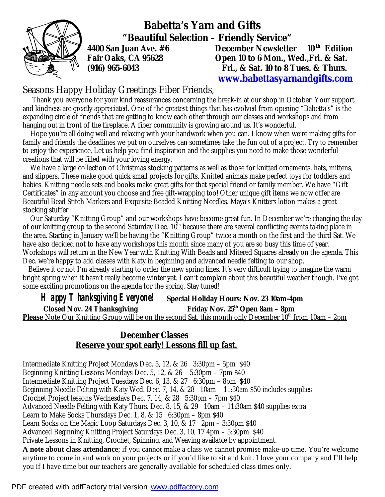

 **Babetta's Yarn and Gifts "Beautiful Selection – Friendly Service"** 

**4400 San Juan Ave. #6 December Newsletter 10 th Edition Fair Oaks, CA 95628 Open 10 to 6 Mon., Wed.,Fri. & Sat. (916) 965-6043 Fri., & Sat. 10 to 8 Tues. & Thurs. [www.babettasyarnandgifts.com](http://www.babettasyarnandgifts.com)**

## Seasons Happy Holiday Greetings Fiber Friends,

 Thank you everyone for your kind reassurances concerning the break-in at our shop in October. Your support and kindness are greatly appreciated. One of the greatest things that has evolved from opening "Babetta's" is the expanding circle of friends that are getting to know each other through our classes and workshops and from hanging out in front of the fireplace. A fiber community is growing around us. It's wonderful.

 Hope you're all doing well and relaxing with your handwork when you can. I know when we're making gifts for family and friends the deadlines we put on ourselves can sometimes take the fun out of a project. Try to remember to enjoy the experience. Let us help you find inspiration and the supplies you need to make those wonderful creations that will be filled with your loving energy.

 We have a large collection of Christmas stocking patterns as well as those for knitted ornaments, hats, mittens, and slippers. These make good quick small projects for gifts. Knitted animals make perfect toys for toddlers and babies. Knitting needle sets and books make great gifts for that special friend or family member. We have "Gift Certificates" in any amount you choose and free gift-wrapping too! Other unique gift items we now offer are Beautiful Bead Stitch Markers and Exquisite Beaded Knitting Needles. Maya's Knitters lotion makes a great stocking stuffer.

 Our Saturday "Knitting Group" and our workshops have become great fun. In December we're changing the day of our knitting group to the second Saturday Dec. 10<sup>th</sup> because there are several conflicting events taking place in the area. Starting in January we'll be having the "Knitting Group" twice a month on the first and the third Sat. We have also decided not to have any workshops this month since many of you are so busy this time of year. Workshops will return in the New Year with Knitting With Beads and Mitered Squares already on the agenda. This Dec. we're happy to add classes with Katy in beginning and advanced needle felting to our shop.

 Believe it or not I'm already starting to order the new spring lines. It's very difficult trying to imagine the warm bright spring when it hasn't really become winter yet. I can't complain about this beautiful weather though. I've got some exciting promotions on the agenda for the spring. Stay tuned!

 *Happy Thanksgiving Everyone!* **Special Holiday Hours: Nov. 23 10am-4pm** 

 **Closed Nov. 24 Thanksgiving Friday Nov. 25th Open 8am – 8pm Please** Note Our Knitting Group will be on the second Sat. this month only December 10<sup>th</sup> from 10am – 2pm

## **December Classes Reserve your spot early! Lessons fill up fast.**

Intermediate Knitting Project Mondays Dec. 5, 12, & 26 3:30pm – 5pm \$40 Beginning Knitting Lessons Mondays Dec. 5, 12, & 26 5:30pm – 7pm \$40 Intermediate Knitting Project Tuesdays Dec. 6, 13, & 27 6:30pm – 8pm \$40 Beginning Needle Felting with Katy Wed. Dec. 7, 14, & 28 10am – 11:30am \$50 includes supplies Crochet Project lessons Wednesdays Dec. 7, 14, & 28 5:30pm – 7pm \$40 Advanced Needle Felting with Katy Thurs. Dec. 8, 15, & 29 10am – 11:30am \$40 supplies extra Learn to Make Socks Thursdays Dec. 1, 8, & 15 6:30pm – 8pm \$40 Learn Socks on the Magic Loop Saturdays Dec. 3, 10, & 17 2pm – 3:30pm \$40 Advanced Beginning Knitting Project Saturdays Dec. 3, 10, 17 4pm – 5:30pm \$40 Private Lessons in Knitting, Crochet, Spinning, and Weaving available by appointment. **A note about class attendance**; if you cannot make a class we cannot promise make-up time. You're welcome anytime to come in and work on your projects or if you'd like to sit and knit. I love your company and I'll help you if I have time but our teachers are generally available for scheduled class times only.